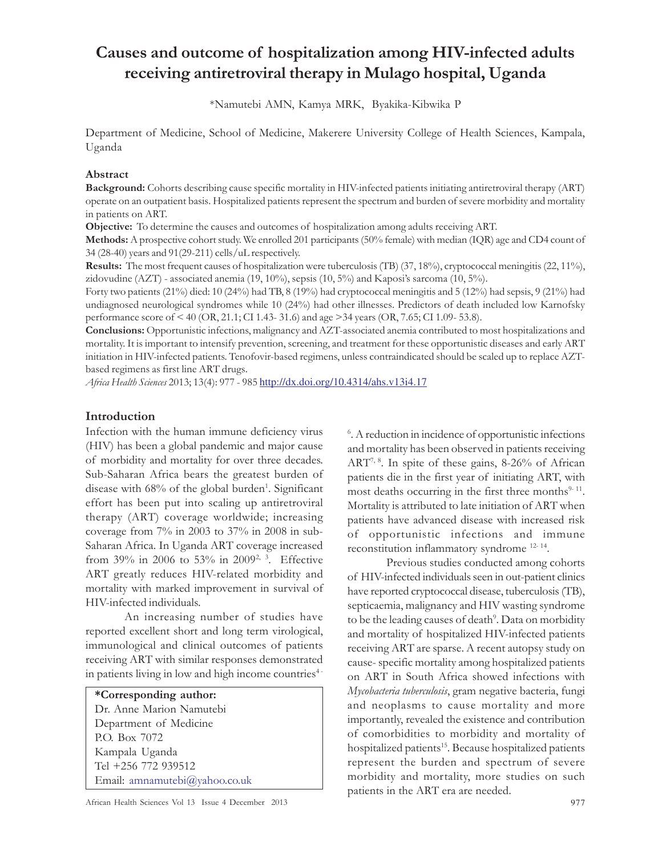# Causes and outcome of hospitalization among HIV-infected adults receiving antiretroviral therapy in Mulago hospital, Uganda

\*Namutebi AMN, Kamya MRK, Byakika-Kibwika P

Department of Medicine, School of Medicine, Makerere University College of Health Sciences, Kampala, Uganda

#### Abstract

Background: Cohorts describing cause specific mortality in HIV-infected patients initiating antiretroviral therapy (ART) operate on an outpatient basis. Hospitalized patients represent the spectrum and burden of severe morbidity and mortality in patients on ART.

Objective: To determine the causes and outcomes of hospitalization among adults receiving ART.

Methods: A prospective cohort study. We enrolled 201 participants (50% female) with median (IQR) age and CD4 count of 34 (28-40) years and 91(29-211) cells/uL respectively.

Results: The most frequent causes of hospitalization were tuberculosis (TB) (37, 18%), cryptococcal meningitis (22, 11%), zidovudine (AZT) - associated anemia (19, 10%), sepsis (10, 5%) and Kaposi's sarcoma (10, 5%).

Forty two patients (21%) died: 10 (24%) had TB, 8 (19%) had cryptococcal meningitis and 5 (12%) had sepsis, 9 (21%) had undiagnosed neurological syndromes while 10 (24%) had other illnesses. Predictors of death included low Karnofsky performance score of < 40 (OR, 21.1; CI 1.43- 31.6) and age >34 years (OR, 7.65; CI 1.09- 53.8).

Conclusions: Opportunistic infections, malignancy and AZT-associated anemia contributed to most hospitalizations and mortality. It is important to intensify prevention, screening, and treatment for these opportunistic diseases and early ART initiation in HIV-infected patients. Tenofovir-based regimens, unless contraindicated should be scaled up to replace AZTbased regimens as first line ART drugs.

Africa Health Sciences 2013; 13(4): 977 - 985 http://dx.doi.org/10.4314/ahs.v13i4.17

#### Introduction

Infection with the human immune deficiency virus (HIV) has been a global pandemic and major cause of morbidity and mortality for over three decades. Sub-Saharan Africa bears the greatest burden of disease with 68% of the global burden<sup>1</sup>. Significant effort has been put into scaling up antiretroviral therapy (ART) coverage worldwide; increasing coverage from 7% in 2003 to 37% in 2008 in sub-Saharan Africa. In Uganda ART coverage increased from 39% in 2006 to 53% in 2009<sup>2, 3</sup>. Effective ART greatly reduces HIV-related morbidity and mortality with marked improvement in survival of HIV-infected individuals.

An increasing number of studies have reported excellent short and long term virological, immunological and clinical outcomes of patients receiving ART with similar responses demonstrated in patients living in low and high income countries<sup>4</sup>

\*Corresponding author: Dr. Anne Marion Namutebi Department of Medicine P.O. Box 7072 Kampala Uganda Tel +256 772 939512 Email: amnamutebi@yahoo.co.uk

6 . A reduction in incidence of opportunistic infections and mortality has been observed in patients receiving ART7, 8. In spite of these gains, 8-26% of African patients die in the first year of initiating ART, with most deaths occurring in the first three months<sup>9-11</sup>. Mortality is attributed to late initiation of ART when patients have advanced disease with increased risk of opportunistic infections and immune reconstitution inflammatory syndrome 12- 14 .

Previous studies conducted among cohorts of HIV-infected individuals seen in out-patient clinics have reported cryptococcal disease, tuberculosis (TB), septicaemia, malignancy and HIV wasting syndrome to be the leading causes of death<sup>9</sup>. Data on morbidity and mortality of hospitalized HIV-infected patients receiving ART are sparse. A recent autopsy study on cause- specific mortality among hospitalized patients on ART in South Africa showed infections with Mycobacteria tuberculosis, gram negative bacteria, fungi and neoplasms to cause mortality and more importantly, revealed the existence and contribution of comorbidities to morbidity and mortality of hospitalized patients<sup>15</sup>. Because hospitalized patients represent the burden and spectrum of severe morbidity and mortality, more studies on such patients in the ART era are needed.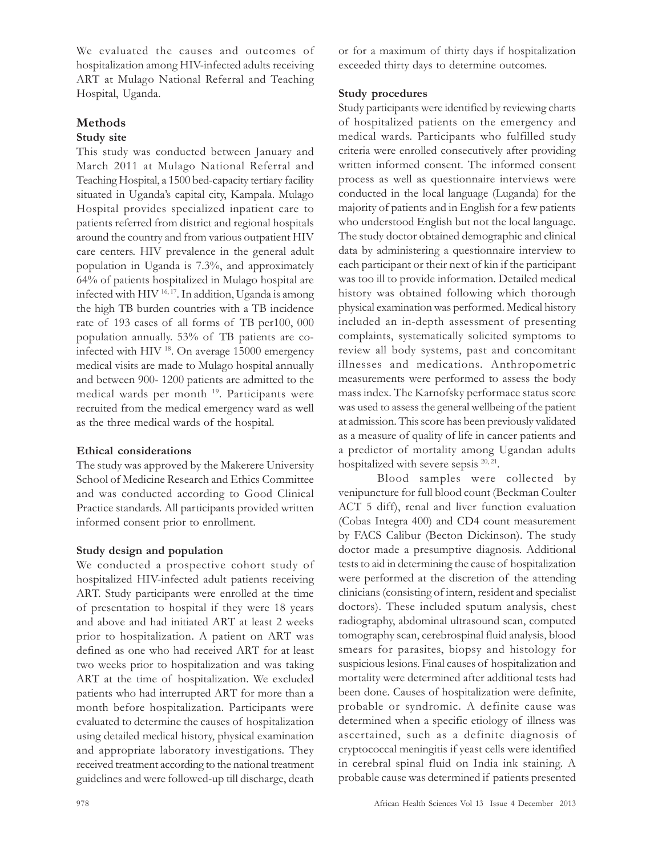We evaluated the causes and outcomes of hospitalization among HIV-infected adults receiving ART at Mulago National Referral and Teaching Hospital, Uganda.

# Methods

# Study site

This study was conducted between January and March 2011 at Mulago National Referral and Teaching Hospital, a 1500 bed-capacity tertiary facility situated in Uganda's capital city, Kampala. Mulago Hospital provides specialized inpatient care to patients referred from district and regional hospitals around the country and from various outpatient HIV care centers. HIV prevalence in the general adult population in Uganda is 7.3%, and approximately 64% of patients hospitalized in Mulago hospital are infected with HIV <sup>16, 17</sup>. In addition, Uganda is among the high TB burden countries with a TB incidence rate of 193 cases of all forms of TB per100, 000 population annually. 53% of TB patients are coinfected with HIV<sup>18</sup>. On average 15000 emergency medical visits are made to Mulago hospital annually and between 900- 1200 patients are admitted to the medical wards per month <sup>19</sup>. Participants were recruited from the medical emergency ward as well as the three medical wards of the hospital.

# Ethical considerations

The study was approved by the Makerere University School of Medicine Research and Ethics Committee and was conducted according to Good Clinical Practice standards. All participants provided written informed consent prior to enrollment.

# Study design and population

We conducted a prospective cohort study of hospitalized HIV-infected adult patients receiving ART. Study participants were enrolled at the time of presentation to hospital if they were 18 years and above and had initiated ART at least 2 weeks prior to hospitalization. A patient on ART was defined as one who had received ART for at least two weeks prior to hospitalization and was taking ART at the time of hospitalization. We excluded patients who had interrupted ART for more than a month before hospitalization. Participants were evaluated to determine the causes of hospitalization using detailed medical history, physical examination and appropriate laboratory investigations. They received treatment according to the national treatment guidelines and were followed-up till discharge, death

or for a maximum of thirty days if hospitalization exceeded thirty days to determine outcomes.

# Study procedures

Study participants were identified by reviewing charts of hospitalized patients on the emergency and medical wards. Participants who fulfilled study criteria were enrolled consecutively after providing written informed consent. The informed consent process as well as questionnaire interviews were conducted in the local language (Luganda) for the majority of patients and in English for a few patients who understood English but not the local language. The study doctor obtained demographic and clinical data by administering a questionnaire interview to each participant or their next of kin if the participant was too ill to provide information. Detailed medical history was obtained following which thorough physical examination was performed. Medical history included an in-depth assessment of presenting complaints, systematically solicited symptoms to review all body systems, past and concomitant illnesses and medications. Anthropometric measurements were performed to assess the body mass index. The Karnofsky performace status score was used to assess the general wellbeing of the patient at admission. This score has been previously validated as a measure of quality of life in cancer patients and a predictor of mortality among Ugandan adults hospitalized with severe sepsis <sup>20, 21</sup>.

Blood samples were collected by venipuncture for full blood count (Beckman Coulter ACT 5 diff), renal and liver function evaluation (Cobas Integra 400) and CD4 count measurement by FACS Calibur (Becton Dickinson). The study doctor made a presumptive diagnosis. Additional tests to aid in determining the cause of hospitalization were performed at the discretion of the attending clinicians (consisting of intern, resident and specialist doctors). These included sputum analysis, chest radiography, abdominal ultrasound scan, computed tomography scan, cerebrospinal fluid analysis, blood smears for parasites, biopsy and histology for suspicious lesions. Final causes of hospitalization and mortality were determined after additional tests had been done. Causes of hospitalization were definite, probable or syndromic. A definite cause was determined when a specific etiology of illness was ascertained, such as a definite diagnosis of cryptococcal meningitis if yeast cells were identified in cerebral spinal fluid on India ink staining. A probable cause was determined if patients presented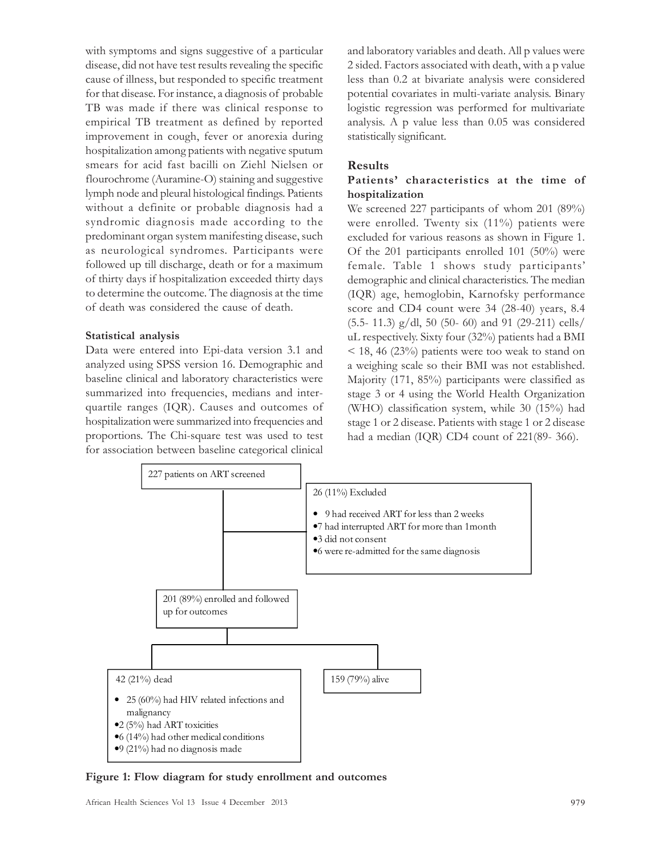with symptoms and signs suggestive of a particular disease, did not have test results revealing the specific cause of illness, but responded to specific treatment for that disease. For instance, a diagnosis of probable TB was made if there was clinical response to empirical TB treatment as defined by reported improvement in cough, fever or anorexia during hospitalization among patients with negative sputum smears for acid fast bacilli on Ziehl Nielsen or flourochrome (Auramine-O) staining and suggestive lymph node and pleural histological findings. Patients without a definite or probable diagnosis had a syndromic diagnosis made according to the predominant organ system manifesting disease, such as neurological syndromes. Participants were followed up till discharge, death or for a maximum of thirty days if hospitalization exceeded thirty days to determine the outcome. The diagnosis at the time of death was considered the cause of death.

#### Statistical analysis

Data were entered into Epi-data version 3.1 and analyzed using SPSS version 16. Demographic and baseline clinical and laboratory characteristics were summarized into frequencies, medians and interquartile ranges (IQR). Causes and outcomes of hospitalization were summarized into frequencies and proportions. The Chi-square test was used to test for association between baseline categorical clinical and laboratory variables and death. All p values were 2 sided. Factors associated with death, with a p value less than 0.2 at bivariate analysis were considered potential covariates in multi-variate analysis. Binary logistic regression was performed for multivariate analysis. A p value less than 0.05 was considered statistically significant.

#### Results

#### Patients' characteristics at the time of hospitalization

We screened 227 participants of whom 201 (89%) were enrolled. Twenty six (11%) patients were excluded for various reasons as shown in Figure 1. Of the 201 participants enrolled 101 (50%) were female. Table 1 shows study participants' demographic and clinical characteristics. The median (IQR) age, hemoglobin, Karnofsky performance score and CD4 count were 34 (28-40) years, 8.4  $(5.5-11.3)$  g/dl, 50 (50-60) and 91 (29-211) cells/ uL respectively. Sixty four (32%) patients had a BMI < 18, 46 (23%) patients were too weak to stand on a weighing scale so their BMI was not established. Majority (171, 85%) participants were classified as stage 3 or 4 using the World Health Organization (WHO) classification system, while 30 (15%) had stage 1 or 2 disease. Patients with stage 1 or 2 disease had a median (IQR) CD4 count of 221(89- 366).



Figure 1: Flow diagram for study enrollment and outcomes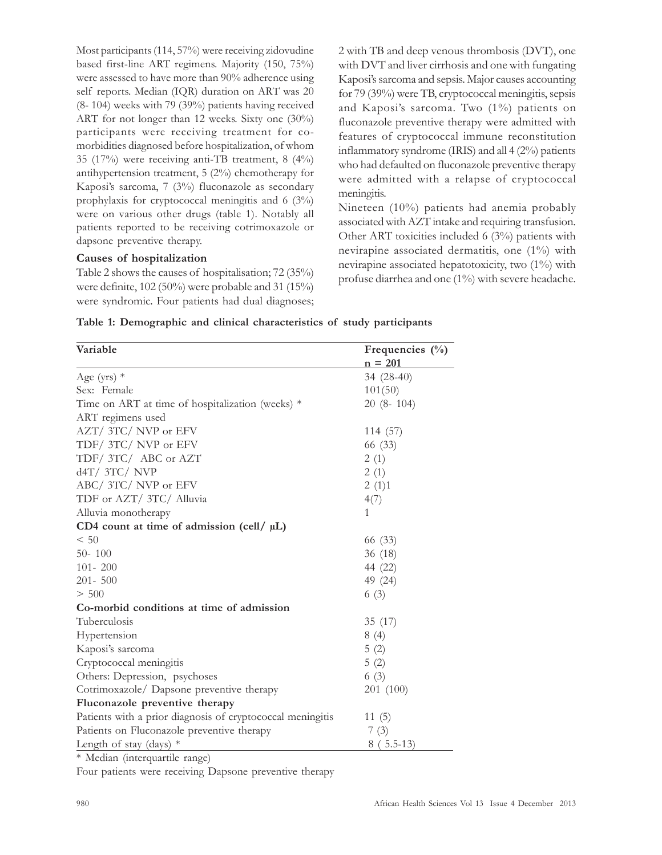Most participants (114, 57%) were receiving zidovudine based first-line ART regimens. Majority (150, 75%) were assessed to have more than 90% adherence using self reports. Median (IQR) duration on ART was 20 (8- 104) weeks with 79 (39%) patients having received ART for not longer than 12 weeks. Sixty one (30%) participants were receiving treatment for comorbidities diagnosed before hospitalization, of whom 35 (17%) were receiving anti-TB treatment, 8 (4%) antihypertension treatment, 5 (2%) chemotherapy for Kaposi's sarcoma, 7 (3%) fluconazole as secondary prophylaxis for cryptococcal meningitis and 6 (3%) were on various other drugs (table 1). Notably all patients reported to be receiving cotrimoxazole or dapsone preventive therapy.

#### Causes of hospitalization

Table 2 shows the causes of hospitalisation; 72 (35%) were definite, 102 (50%) were probable and 31 (15%) were syndromic. Four patients had dual diagnoses; 2 with TB and deep venous thrombosis (DVT), one with DVT and liver cirrhosis and one with fungating Kaposi's sarcoma and sepsis. Major causes accounting for 79 (39%) were TB, cryptococcal meningitis, sepsis and Kaposi's sarcoma. Two (1%) patients on fluconazole preventive therapy were admitted with features of cryptococcal immune reconstitution inflammatory syndrome (IRIS) and all 4 (2%) patients who had defaulted on fluconazole preventive therapy were admitted with a relapse of cryptococcal meningitis.

Nineteen (10%) patients had anemia probably associated with AZT intake and requiring transfusion. Other ART toxicities included 6 (3%) patients with nevirapine associated dermatitis, one (1%) with nevirapine associated hepatotoxicity, two (1%) with profuse diarrhea and one (1%) with severe headache.

| Table 1: Demographic and clinical characteristics of study participants |  |  |  |
|-------------------------------------------------------------------------|--|--|--|
|-------------------------------------------------------------------------|--|--|--|

| Variable                                                   | Frequencies $(\%$ |
|------------------------------------------------------------|-------------------|
|                                                            | $n = 201$         |
| Age (yrs) $*$                                              | 34 (28-40)        |
| Sex: Female                                                | 101(50)           |
| Time on ART at time of hospitalization (weeks) $*$         | $20(8-104)$       |
| ART regimens used                                          |                   |
| AZT/3TC/NVP or EFV                                         | 114 (57)          |
| TDF/3TC/NVP or EFV                                         | 66 (33)           |
| TDF/3TC/ABC or AZT                                         | 2(1)              |
| $dAT/$ 3TC/ NVP                                            | 2(1)              |
| ABC/ 3TC/ NVP or EFV                                       | 2(1)1             |
| TDF or AZT/ 3TC/ Alluvia                                   | 4(7)              |
| Alluvia monotherapy                                        | $\mathbf{1}$      |
| CD4 count at time of admission (cell/ $\mu$ L)             |                   |
| < 50                                                       | 66 (33)           |
| $50 - 100$                                                 | 36(18)            |
| $101 - 200$                                                | 44 (22)           |
| $201 - 500$                                                | 49 (24)           |
| > 500                                                      | 6(3)              |
| Co-morbid conditions at time of admission                  |                   |
| Tuberculosis                                               | 35 (17)           |
| Hypertension                                               | 8(4)              |
| Kaposi's sarcoma                                           | 5(2)              |
| Cryptococcal meningitis                                    | 5(2)              |
| Others: Depression, psychoses                              | 6(3)              |
| Cotrimoxazole/ Dapsone preventive therapy                  | 201 (100)         |
| Fluconazole preventive therapy                             |                   |
| Patients with a prior diagnosis of cryptococcal meningitis | 11(5)             |
| Patients on Fluconazole preventive therapy                 | 7(3)              |
| Length of stay (days) $*$                                  | $8(5.5-13)$       |

\* Median (interquartile range)

Four patients were receiving Dapsone preventive therapy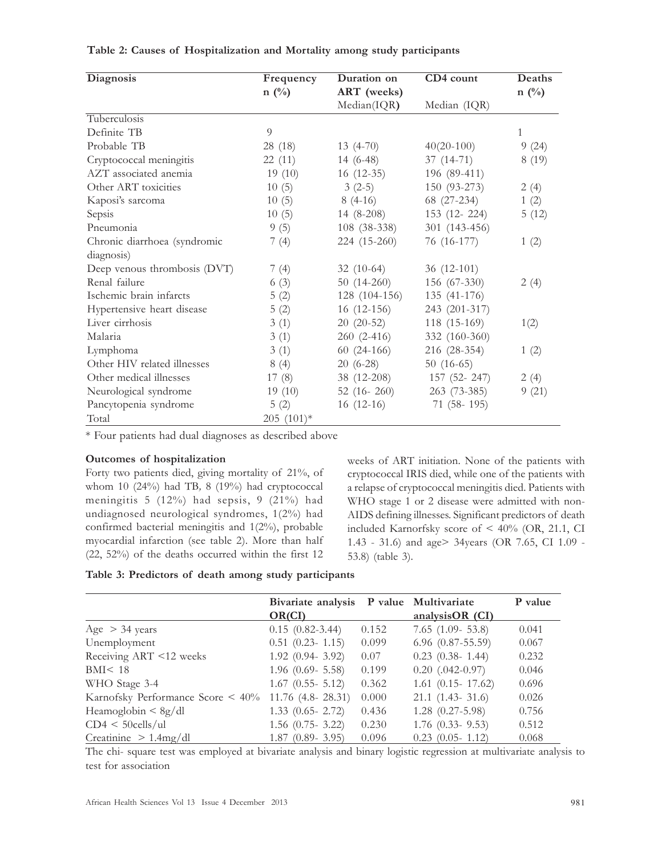| Diagnosis                    | Frequency   | Duration on   | CD4 count     | Deaths         |  |
|------------------------------|-------------|---------------|---------------|----------------|--|
|                              | $n \ (\%)$  | ART (weeks)   |               | $n(^{0}/_{0})$ |  |
|                              |             | Median(IQR)   | Median (IQR)  |                |  |
| Tuberculosis                 |             |               |               |                |  |
| Definite TB                  | 9           |               |               | 1              |  |
| Probable TB                  | 28 (18)     | $13(4-70)$    | $40(20-100)$  | 9(24)          |  |
| Cryptococcal meningitis      | 22(11)      | $14(6-48)$    | $37(14-71)$   | 8(19)          |  |
| AZT associated anemia        | 19(10)      | $16(12-35)$   | 196 (89-411)  |                |  |
| Other ART toxicities         | 10(5)       | $3(2-5)$      | 150 (93-273)  | 2(4)           |  |
| Kaposi's sarcoma             | 10(5)       | $8(4-16)$     | 68 (27-234)   | 1(2)           |  |
| Sepsis                       | 10(5)       | $14(8-208)$   | 153 (12-224)  | 5(12)          |  |
| Pneumonia                    | 9(5)        | 108 (38-338)  | 301 (143-456) |                |  |
| Chronic diarrhoea (syndromic | 7(4)        | 224 (15-260)  | 76 (16-177)   | 1(2)           |  |
| diagnosis)                   |             |               |               |                |  |
| Deep venous thrombosis (DVT) | 7(4)        | $32(10-64)$   | $36(12-101)$  |                |  |
| Renal failure                | 6(3)        | $50(14-260)$  | 156 (67-330)  | 2(4)           |  |
| Ischemic brain infarcts      | 5(2)        | 128 (104-156) | 135 (41-176)  |                |  |
| Hypertensive heart disease   | 5(2)        | $16(12-156)$  | 243 (201-317) |                |  |
| Liver cirrhosis              | 3(1)        | $20(20-52)$   | 118 (15-169)  | 1(2)           |  |
| Malaria                      | 3(1)        | $260(2-416)$  | 332 (160-360) |                |  |
| Lymphoma                     | 3(1)        | $60(24-166)$  | 216 (28-354)  | 1(2)           |  |
| Other HIV related illnesses  | 8(4)        | $20(6-28)$    | $50(16-65)$   |                |  |
| Other medical illnesses      | 17(8)       | 38 (12-208)   | 157 (52-247)  | 2(4)           |  |
| Neurological syndrome        | 19(10)      | 52 $(16-260)$ | $263(73-385)$ | 9(21)          |  |
| Pancytopenia syndrome        | 5(2)        | $16(12-16)$   | $71(58-195)$  |                |  |
| Total                        | $205(101)*$ |               |               |                |  |

#### Table 2: Causes of Hospitalization and Mortality among study participants

\* Four patients had dual diagnoses as described above

#### Outcomes of hospitalization

Forty two patients died, giving mortality of 21%, of whom 10 (24%) had TB, 8 (19%) had cryptococcal meningitis 5 (12%) had sepsis, 9 (21%) had undiagnosed neurological syndromes, 1(2%) had confirmed bacterial meningitis and 1(2%), probable myocardial infarction (see table 2). More than half (22, 52%) of the deaths occurred within the first 12

weeks of ART initiation. None of the patients with cryptococcal IRIS died, while one of the patients with a relapse of cryptococcal meningitis died. Patients with WHO stage 1 or 2 disease were admitted with non-AIDS defining illnesses. Significant predictors of death included Karnorfsky score of < 40% (OR, 21.1, CI 1.43 - 31.6) and age> 34years (OR 7.65, CI 1.09 - 53.8) (table 3).

|  |  |  |  |  |  |  | Table 3: Predictors of death among study participants |  |
|--|--|--|--|--|--|--|-------------------------------------------------------|--|
|--|--|--|--|--|--|--|-------------------------------------------------------|--|

|                                   | Bivariate analysis<br>OR(CI) |       | P value Multivariate<br>analysisOR $(CI)$ | P value |
|-----------------------------------|------------------------------|-------|-------------------------------------------|---------|
| Age $>$ 34 years                  | $0.15(0.82 - 3.44)$          | 0.152 | $7.65$ $(1.09 - 53.8)$                    | 0.041   |
| Unemployment                      | $0.51$ $(0.23 - 1.15)$       | 0.099 | $6.96$ $(0.87 - 55.59)$                   | 0.067   |
| Receiving ART <12 weeks           | $1.92$ (0.94- 3.92)          | 0.07  | $0.23$ $(0.38 - 1.44)$                    | 0.232   |
| BMI < 18                          | $1.96$ (0.69- 5.58)          | 0.199 | $0.20$ $(.042-0.97)$                      | 0.046   |
| WHO Stage 3-4                     | $1.67$ (0.55- 5.12)          | 0.362 | $1.61$ (0.15 - 17.62)                     | 0.696   |
| Karnofsky Performance Score < 40% | $11.76$ (4.8-28.31)          | 0.000 | $21.1$ $(1.43 - 31.6)$                    | 0.026   |
| Heamoglobin $\langle 8g/dl$       | $1.33$ (0.65- 2.72)          | 0.436 | $1.28$ $(0.27 - 5.98)$                    | 0.756   |
| $CD4 < 50$ cells/ul               | $1.56$ (0.75- 3.22)          | 0.230 | $1.76$ (0.33- 9.53)                       | 0.512   |
| Creatinine $> 1.4$ mg/dl          | $1.87$ (0.89 - 3.95)         | 0.096 | $0.23$ $(0.05 - 1.12)$                    | 0.068   |

The chi- square test was employed at bivariate analysis and binary logistic regression at multivariate analysis to test for association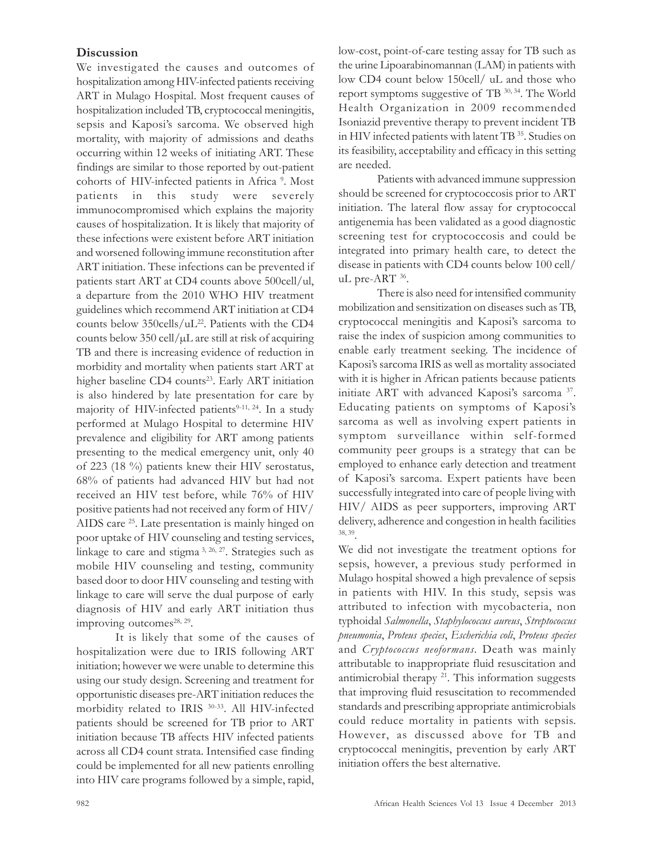# **Discussion**

We investigated the causes and outcomes of hospitalization among HIV-infected patients receiving ART in Mulago Hospital. Most frequent causes of hospitalization included TB, cryptococcal meningitis, sepsis and Kaposi's sarcoma. We observed high mortality, with majority of admissions and deaths occurring within 12 weeks of initiating ART. These findings are similar to those reported by out-patient cohorts of HIV-infected patients in Africa<sup>9</sup>. Most patients in this study were severely immunocompromised which explains the majority causes of hospitalization. It is likely that majority of these infections were existent before ART initiation and worsened following immune reconstitution after ART initiation. These infections can be prevented if patients start ART at CD4 counts above 500cell/ul, a departure from the 2010 WHO HIV treatment guidelines which recommend ART initiation at CD4 counts below 350cells/uL<sup>22</sup>. Patients with the CD4 counts below  $350 \text{ cell/}\mu\text{L}$  are still at risk of acquiring TB and there is increasing evidence of reduction in morbidity and mortality when patients start ART at higher baseline CD4 counts<sup>23</sup>. Early ART initiation is also hindered by late presentation for care by majority of HIV-infected patients<sup>9-11, 24</sup>. In a study performed at Mulago Hospital to determine HIV prevalence and eligibility for ART among patients presenting to the medical emergency unit, only 40 of 223 (18 %) patients knew their HIV serostatus, 68% of patients had advanced HIV but had not received an HIV test before, while 76% of HIV positive patients had not received any form of HIV/ AIDS care <sup>25</sup>. Late presentation is mainly hinged on poor uptake of HIV counseling and testing services, linkage to care and stigma 3, 26, 27. Strategies such as mobile HIV counseling and testing, community based door to door HIV counseling and testing with linkage to care will serve the dual purpose of early diagnosis of HIV and early ART initiation thus improving outcomes<sup>28, 29</sup>.

It is likely that some of the causes of hospitalization were due to IRIS following ART initiation; however we were unable to determine this using our study design. Screening and treatment for opportunistic diseases pre-ART initiation reduces the morbidity related to IRIS 30-33 . All HIV-infected patients should be screened for TB prior to ART initiation because TB affects HIV infected patients across all CD4 count strata. Intensified case finding could be implemented for all new patients enrolling into HIV care programs followed by a simple, rapid,

low-cost, point-of-care testing assay for TB such as the urine Lipoarabinomannan (LAM) in patients with low CD4 count below 150cell/ uL and those who report symptoms suggestive of TB 30, 34. The World Health Organization in 2009 recommended Isoniazid preventive therapy to prevent incident TB in HIV infected patients with latent TB<sup>35</sup>. Studies on its feasibility, acceptability and efficacy in this setting are needed.

Patients with advanced immune suppression should be screened for cryptococcosis prior to ART initiation. The lateral flow assay for cryptococcal antigenemia has been validated as a good diagnostic screening test for cryptococcosis and could be integrated into primary health care, to detect the disease in patients with CD4 counts below 100 cell/ uL pre-ART<sup>36</sup>.

There is also need for intensified community mobilization and sensitization on diseases such as TB, cryptococcal meningitis and Kaposi's sarcoma to raise the index of suspicion among communities to enable early treatment seeking. The incidence of Kaposi's sarcoma IRIS as well as mortality associated with it is higher in African patients because patients initiate ART with advanced Kaposi's sarcoma <sup>37</sup>. Educating patients on symptoms of Kaposi's sarcoma as well as involving expert patients in symptom surveillance within self-formed community peer groups is a strategy that can be employed to enhance early detection and treatment of Kaposi's sarcoma. Expert patients have been successfully integrated into care of people living with HIV/ AIDS as peer supporters, improving ART delivery, adherence and congestion in health facilities 38, 39 .

We did not investigate the treatment options for sepsis, however, a previous study performed in Mulago hospital showed a high prevalence of sepsis in patients with HIV. In this study, sepsis was attributed to infection with mycobacteria, non typhoidal Salmonella, Staphylococcus aureus, Streptococcus pneumonia, Proteus species, Escherichia coli, Proteus species and Cryptococcus neoformans. Death was mainly attributable to inappropriate fluid resuscitation and antimicrobial therapy <sup>21</sup>. This information suggests that improving fluid resuscitation to recommended standards and prescribing appropriate antimicrobials could reduce mortality in patients with sepsis. However, as discussed above for TB and cryptococcal meningitis, prevention by early ART initiation offers the best alternative.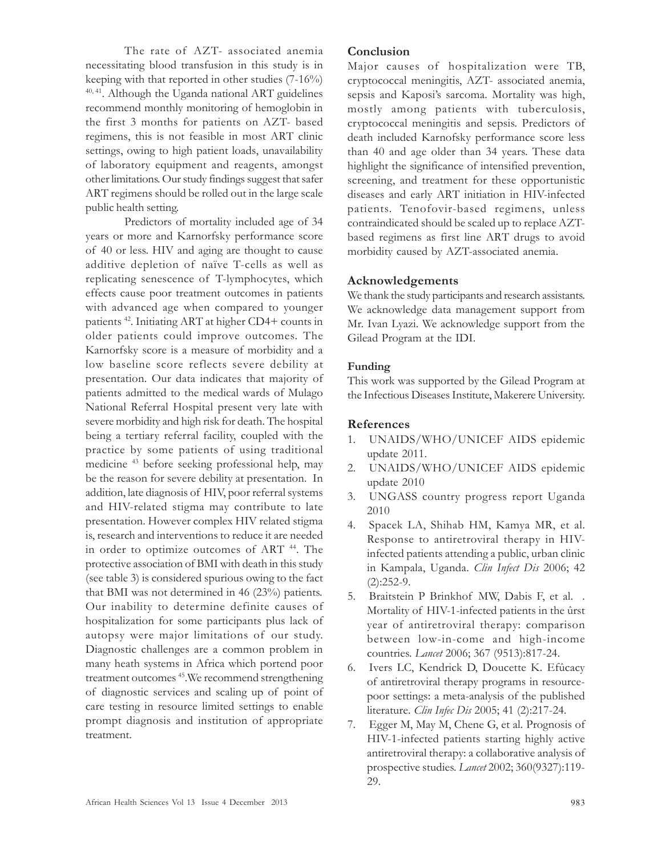The rate of AZT- associated anemia necessitating blood transfusion in this study is in keeping with that reported in other studies (7-16%)  $40, 41$ . Although the Uganda national ART guidelines recommend monthly monitoring of hemoglobin in the first 3 months for patients on AZT- based regimens, this is not feasible in most ART clinic settings, owing to high patient loads, unavailability of laboratory equipment and reagents, amongst other limitations. Our study findings suggest that safer ART regimens should be rolled out in the large scale public health setting.

Predictors of mortality included age of 34 years or more and Karnorfsky performance score of 40 or less. HIV and aging are thought to cause additive depletion of naïve T-cells as well as replicating senescence of T-lymphocytes, which effects cause poor treatment outcomes in patients with advanced age when compared to younger patients <sup>42</sup>. Initiating ART at higher CD4+ counts in older patients could improve outcomes. The Karnorfsky score is a measure of morbidity and a low baseline score reflects severe debility at presentation. Our data indicates that majority of patients admitted to the medical wards of Mulago National Referral Hospital present very late with severe morbidity and high risk for death. The hospital being a tertiary referral facility, coupled with the practice by some patients of using traditional medicine <sup>43</sup> before seeking professional help, may be the reason for severe debility at presentation. In addition, late diagnosis of HIV, poor referral systems and HIV-related stigma may contribute to late presentation. However complex HIV related stigma is, research and interventions to reduce it are needed in order to optimize outcomes of ART <sup>44</sup>. The protective association of BMI with death in this study (see table 3) is considered spurious owing to the fact that BMI was not determined in 46 (23%) patients. Our inability to determine definite causes of hospitalization for some participants plus lack of autopsy were major limitations of our study. Diagnostic challenges are a common problem in many heath systems in Africa which portend poor treatment outcomes <sup>45</sup>. We recommend strengthening of diagnostic services and scaling up of point of care testing in resource limited settings to enable prompt diagnosis and institution of appropriate treatment.

# Conclusion

Major causes of hospitalization were TB, cryptococcal meningitis, AZT- associated anemia, sepsis and Kaposi's sarcoma. Mortality was high, mostly among patients with tuberculosis, cryptococcal meningitis and sepsis. Predictors of death included Karnofsky performance score less than 40 and age older than 34 years. These data highlight the significance of intensified prevention, screening, and treatment for these opportunistic diseases and early ART initiation in HIV-infected patients. Tenofovir-based regimens, unless contraindicated should be scaled up to replace AZTbased regimens as first line ART drugs to avoid morbidity caused by AZT-associated anemia.

# Acknowledgements

We thank the study participants and research assistants. We acknowledge data management support from Mr. Ivan Lyazi. We acknowledge support from the Gilead Program at the IDI.

#### Funding

This work was supported by the Gilead Program at the Infectious Diseases Institute, Makerere University.

#### References

- 1. UNAIDS/WHO/UNICEF AIDS epidemic update 2011.
- 2. UNAIDS/WHO/UNICEF AIDS epidemic update 2010
- 3. UNGASS country progress report Uganda 2010
- 4. Spacek LA, Shihab HM, Kamya MR, et al. Response to antiretroviral therapy in HIVinfected patients attending a public, urban clinic in Kampala, Uganda. Clin Infect Dis 2006; 42  $(2):252-9.$
- 5. Braitstein P Brinkhof MW, Dabis F, et al. . Mortality of HIV-1-infected patients in the ûrst year of antiretroviral therapy: comparison between low-in-come and high-income countries. Lancet 2006; 367 (9513):817-24.
- 6. Ivers LC, Kendrick D, Doucette K. Efûcacy of antiretroviral therapy programs in resourcepoor settings: a meta-analysis of the published literature. Clin Infec Dis 2005; 41 (2):217-24.
- 7. Egger M, May M, Chene G, et al. Prognosis of HIV-1-infected patients starting highly active antiretroviral therapy: a collaborative analysis of prospective studies. Lancet 2002; 360(9327):119- 29.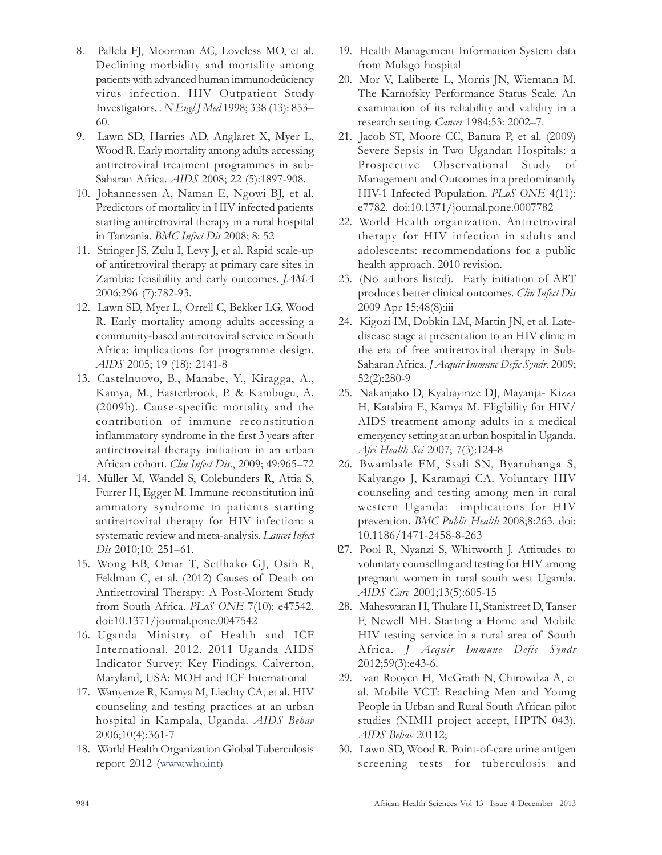- 8. Pallela FJ, Moorman AC, Loveless MO, et al. Declining morbidity and mortality among patients with advanced human immunodeûciency virus infection. HIV Outpatient Study Investigators. . N Engl J Med 1998; 338 (13): 853– 60.
- 9. Lawn SD, Harries AD, Anglaret X, Myer L, Wood R. Early mortality among adults accessing antiretroviral treatment programmes in sub-Saharan Africa. AIDS 2008; 22 (5):1897-908.
- 10. Johannessen A, Naman E, Ngowi BJ, et al. Predictors of mortality in HIV infected patients starting antiretroviral therapy in a rural hospital in Tanzania. BMC Infect Dis 2008; 8: 52
- 11. Stringer JS, Zulu I, Levy J, et al. Rapid scale-up of antiretroviral therapy at primary care sites in Zambia: feasibility and early outcomes. JAMA 2006;296 (7):782-93.
- 12. Lawn SD, Myer L, Orrell C, Bekker LG, Wood R. Early mortality among adults accessing a community-based antiretroviral service in South Africa: implications for programme design. AIDS 2005; 19 (18): 2141-8
- 13. Castelnuovo, B., Manabe, Y., Kiragga, A., Kamya, M., Easterbrook, P. & Kambugu, A. (2009b). Cause-specific mortality and the contribution of immune reconstitution inflammatory syndrome in the first 3 years after antiretroviral therapy initiation in an urban African cohort. Clin Infect Dis., 2009; 49:965-72
- 14. Müller M, Wandel S, Colebunders R, Attia S, Furrer H, Egger M. Immune reconstitution inû ammatory syndrome in patients starting antiretroviral therapy for HIV infection: a systematic review and meta-analysis. Lancet Infect Dis 2010;10: 251-61.
- 15. Wong EB, Omar T, Setlhako GJ, Osih R, Feldman C, et al. (2012) Causes of Death on Antiretroviral Therapy: A Post-Mortem Study from South Africa. PLoS ONE 7(10): e47542. doi:10.1371/journal.pone.0047542
- 16. Uganda Ministry of Health and ICF International. 2012. 2011 Uganda AIDS Indicator Survey: Key Findings. Calverton, Maryland, USA: MOH and ICF International
- 17. Wanyenze R, Kamya M, Liechty CA, et al. HIV counseling and testing practices at an urban hospital in Kampala, Uganda. AIDS Behav 2006;10(4):361-7
- 18. World Health Organization Global Tuberculosis report 2012 (www.who.int)
- 19. Health Management Information System data from Mulago hospital
- 20. Mor V, Laliberte L, Morris JN, Wiemann M. The Karnofsky Performance Status Scale. An examination of its reliability and validity in a research setting. Cancer 1984;53: 2002–7.
- 21. Jacob ST, Moore CC, Banura P, et al. (2009) Severe Sepsis in Two Ugandan Hospitals: a Prospective Observational Study of Management and Outcomes in a predominantly HIV-1 Infected Population. PLoS ONE 4(11): e7782. doi:10.1371/journal.pone.0007782
- 22. World Health organization. Antiretroviral therapy for HIV infection in adults and adolescents: recommendations for a public health approach. 2010 revision.
- 23. (No authors listed). Early initiation of ART produces better clinical outcomes. Clin Infect Dis 2009 Apr 15;48(8):iii
- 24. Kigozi IM, Dobkin LM, Martin JN, et al. Latedisease stage at presentation to an HIV clinic in the era of free antiretroviral therapy in Sub-Saharan Africa. J Acquir Immune Defic Syndr. 2009; 52(2):280-9
- 25. Nakanjako D, Kyabayinze DJ, Mayanja- Kizza H, Katabira E, Kamya M. Eligibility for HIV/ AIDS treatment among adults in a medical emergency setting at an urban hospital in Uganda. Afri Health Sci 2007; 7(3):124-8
- 26. Bwambale FM, Ssali SN, Byaruhanga S, Kalyango J, Karamagi CA. Voluntary HIV counseling and testing among men in rural western Uganda: implications for HIV prevention. BMC Public Health 2008;8:263. doi: 10.1186/1471-2458-8-263
- 27. Pool R, Nyanzi S, Whitworth J. Attitudes to voluntary counselling and testing for HIV among pregnant women in rural south west Uganda. AIDS Care 2001;13(5):605-15
- 28. Maheswaran H, Thulare H, Stanistreet D, Tanser F, Newell MH. Starting a Home and Mobile HIV testing service in a rural area of South Africa. J Acquir Immune Defic Syndr 2012;59(3):e43-6.
- 29. van Rooyen H, McGrath N, Chirowdza A, et al. Mobile VCT: Reaching Men and Young People in Urban and Rural South African pilot studies (NIMH project accept, HPTN 043). AIDS Behav 20112;
- 30. Lawn SD, Wood R. Point-of-care urine antigen screening tests for tuberculosis and